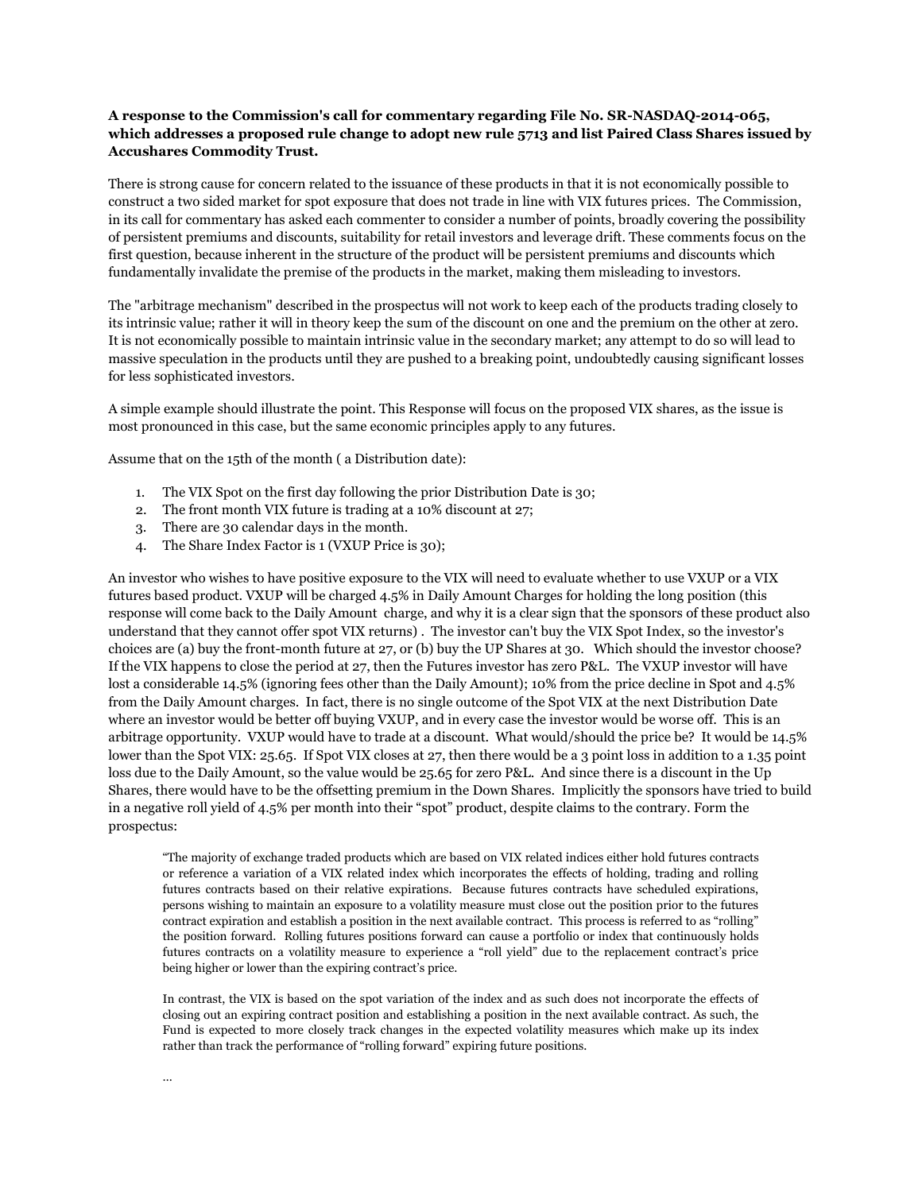## **A response to the Commission's call for commentary regarding File No. SR-NASDAQ-2014-065, which addresses a proposed rule change to adopt new rule 5713 and list Paired Class Shares issued by Accushares Commodity Trust.**

There is strong cause for concern related to the issuance of these products in that it is not economically possible to construct a two sided market for spot exposure that does not trade in line with VIX futures prices. The Commission, in its call for commentary has asked each commenter to consider a number of points, broadly covering the possibility of persistent premiums and discounts, suitability for retail investors and leverage drift. These comments focus on the first question, because inherent in the structure of the product will be persistent premiums and discounts which fundamentally invalidate the premise of the products in the market, making them misleading to investors.

The "arbitrage mechanism" described in the prospectus will not work to keep each of the products trading closely to its intrinsic value; rather it will in theory keep the sum of the discount on one and the premium on the other at zero. It is not economically possible to maintain intrinsic value in the secondary market; any attempt to do so will lead to massive speculation in the products until they are pushed to a breaking point, undoubtedly causing significant losses for less sophisticated investors.

A simple example should illustrate the point. This Response will focus on the proposed VIX shares, as the issue is most pronounced in this case, but the same economic principles apply to any futures.

Assume that on the 15th of the month ( a Distribution date):

- 1. The VIX Spot on the first day following the prior Distribution Date is 30;
- 2. The front month VIX future is trading at a 10% discount at 27;
- 3. There are 30 calendar days in the month.
- 4. The Share Index Factor is 1 (VXUP Price is 30);

An investor who wishes to have positive exposure to the VIX will need to evaluate whether to use VXUP or a VIX futures based product. VXUP will be charged 4.5% in Daily Amount Charges for holding the long position (this response will come back to the Daily Amount charge, and why it is a clear sign that the sponsors of these product also understand that they cannot offer spot VIX returns) . The investor can't buy the VIX Spot Index, so the investor's choices are (a) buy the front-month future at 27, or (b) buy the UP Shares at 30. Which should the investor choose? If the VIX happens to close the period at 27, then the Futures investor has zero P&L. The VXUP investor will have lost a considerable 14.5% (ignoring fees other than the Daily Amount); 10% from the price decline in Spot and 4.5% from the Daily Amount charges. In fact, there is no single outcome of the Spot VIX at the next Distribution Date where an investor would be better off buying VXUP, and in every case the investor would be worse off. This is an arbitrage opportunity. VXUP would have to trade at a discount. What would/should the price be? It would be 14.5% lower than the Spot VIX: 25.65. If Spot VIX closes at 27, then there would be a 3 point loss in addition to a 1.35 point loss due to the Daily Amount, so the value would be 25.65 for zero P&L. And since there is a discount in the Up Shares, there would have to be the offsetting premium in the Down Shares. Implicitly the sponsors have tried to build in a negative roll yield of 4.5% per month into their "spot" product, despite claims to the contrary. Form the prospectus:

"The majority of exchange traded products which are based on VIX related indices either hold futures contracts or reference a variation of a VIX related index which incorporates the effects of holding, trading and rolling futures contracts based on their relative expirations. Because futures contracts have scheduled expirations, persons wishing to maintain an exposure to a volatility measure must close out the position prior to the futures contract expiration and establish a position in the next available contract. This process is referred to as "rolling" the position forward. Rolling futures positions forward can cause a portfolio or index that continuously holds futures contracts on a volatility measure to experience a "roll yield" due to the replacement contract's price being higher or lower than the expiring contract's price.

In contrast, the VIX is based on the spot variation of the index and as such does not incorporate the effects of closing out an expiring contract position and establishing a position in the next available contract. As such, the Fund is expected to more closely track changes in the expected volatility measures which make up its index rather than track the performance of "rolling forward" expiring future positions.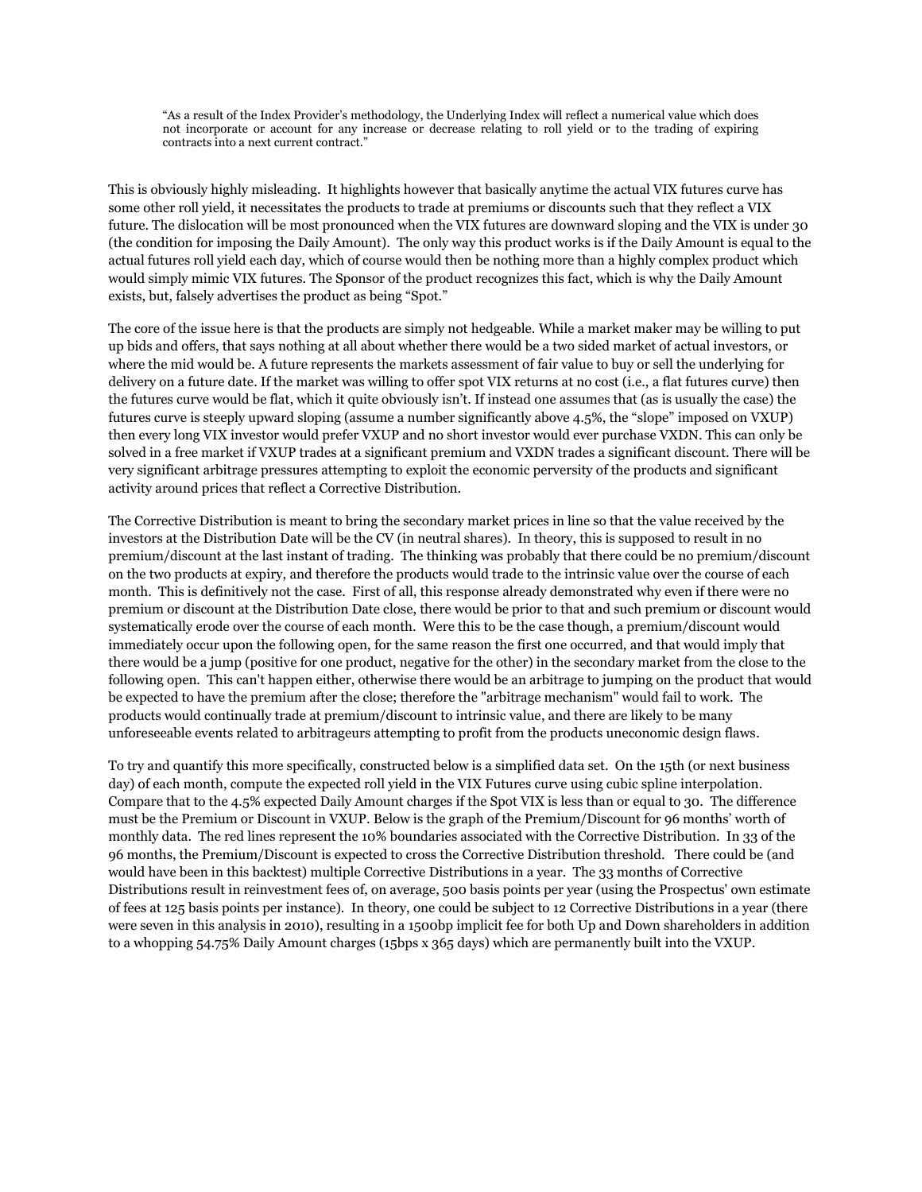"As a result of the Index Provider's methodology, the Underlying Index will reflect a numerical value which does not incorporate or account for any increase or decrease relating to roll yield or to the trading of expiring contracts into a next current contract."

This is obviously highly misleading. It highlights however that basically anytime the actual VIX futures curve has some other roll yield, it necessitates the products to trade at premiums or discounts such that they reflect a VIX future. The dislocation will be most pronounced when the VIX futures are downward sloping and the VIX is under 30 (the condition for imposing the Daily Amount). The only way this product works is if the Daily Amount is equal to the actual futures roll yield each day, which of course would then be nothing more than a highly complex product which would simply mimic VIX futures. The Sponsor of the product recognizes this fact, which is why the Daily Amount exists, but, falsely advertises the product as being "Spot."

The core of the issue here is that the products are simply not hedgeable. While a market maker may be willing to put up bids and offers, that says nothing at all about whether there would be a two sided market of actual investors, or where the mid would be. A future represents the markets assessment of fair value to buy or sell the underlying for delivery on a future date. If the market was willing to offer spot VIX returns at no cost (i.e., a flat futures curve) then the futures curve would be flat, which it quite obviously isn't. If instead one assumes that (as is usually the case) the futures curve is steeply upward sloping (assume a number significantly above 4.5%, the "slope" imposed on VXUP) then every long VIX investor would prefer VXUP and no short investor would ever purchase VXDN. This can only be solved in a free market if VXUP trades at a significant premium and VXDN trades a significant discount. There will be very significant arbitrage pressures attempting to exploit the economic perversity of the products and significant activity around prices that reflect a Corrective Distribution.

The Corrective Distribution is meant to bring the secondary market prices in line so that the value received by the investors at the Distribution Date will be the CV (in neutral shares). In theory, this is supposed to result in no premium/discount at the last instant of trading. The thinking was probably that there could be no premium/discount on the two products at expiry, and therefore the products would trade to the intrinsic value over the course of each month. This is definitively not the case. First of all, this response already demonstrated why even if there were no premium or discount at the Distribution Date close, there would be prior to that and such premium or discount would systematically erode over the course of each month. Were this to be the case though, a premium/discount would immediately occur upon the following open, for the same reason the first one occurred, and that would imply that there would be a jump (positive for one product, negative for the other) in the secondary market from the close to the following open. This can't happen either, otherwise there would be an arbitrage to jumping on the product that would be expected to have the premium after the close; therefore the "arbitrage mechanism" would fail to work. The products would continually trade at premium/discount to intrinsic value, and there are likely to be many unforeseeable events related to arbitrageurs attempting to profit from the products uneconomic design flaws.

To try and quantify this more specifically, constructed below is a simplified data set. On the 15th (or next business day) of each month, compute the expected roll yield in the VIX Futures curve using cubic spline interpolation. Compare that to the 4.5% expected Daily Amount charges if the Spot VIX is less than or equal to 30. The difference must be the Premium or Discount in VXUP. Below is the graph of the Premium/Discount for 96 months' worth of monthly data. The red lines represent the 10% boundaries associated with the Corrective Distribution. In 33 of the 96 months, the Premium/Discount is expected to cross the Corrective Distribution threshold. There could be (and would have been in this backtest) multiple Corrective Distributions in a year. The 33 months of Corrective Distributions result in reinvestment fees of, on average, 500 basis points per year (using the Prospectus' own estimate of fees at 125 basis points per instance). In theory, one could be subject to 12 Corrective Distributions in a year (there were seven in this analysis in 2010), resulting in a 1500bp implicit fee for both Up and Down shareholders in addition to a whopping 54.75% Daily Amount charges (15bps x 365 days) which are permanently built into the VXUP.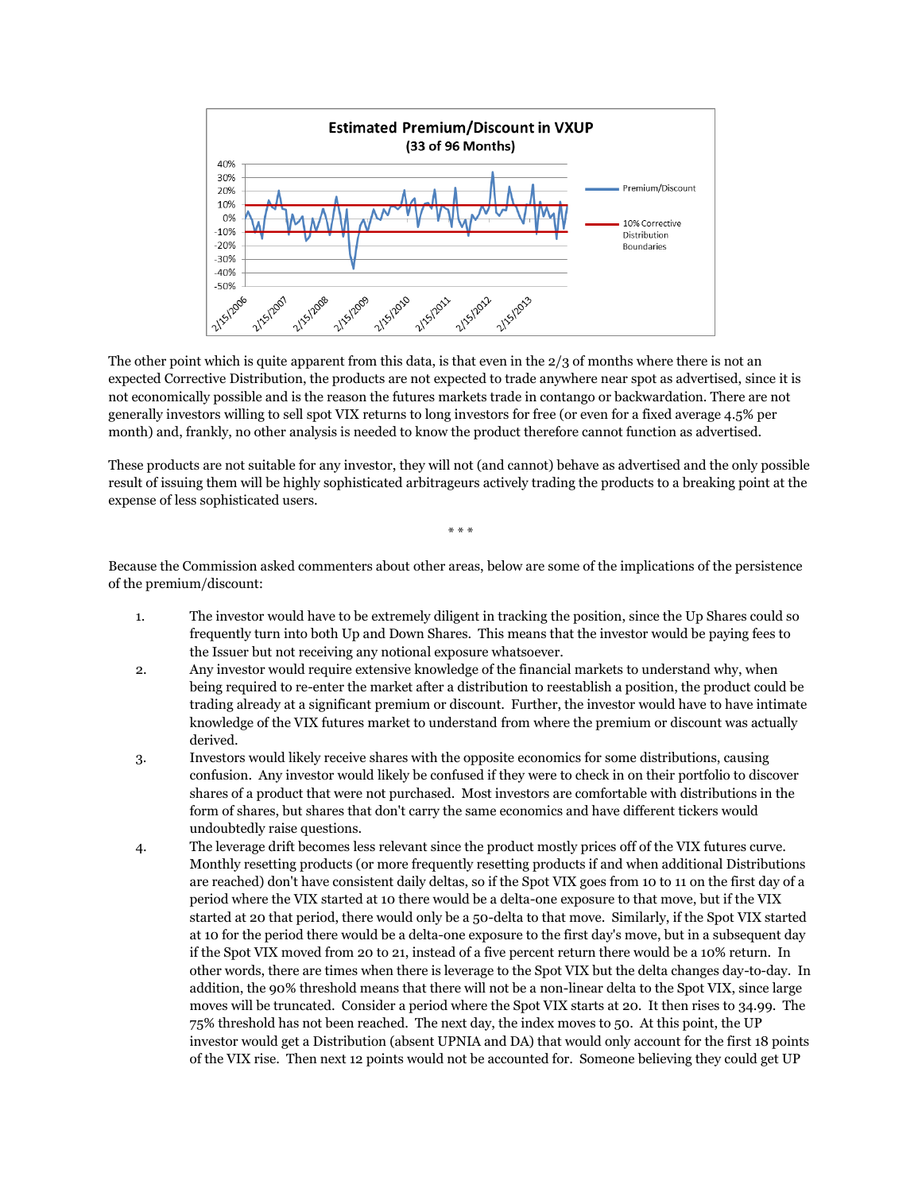

The other point which is quite apparent from this data, is that even in the 2/3 of months where there is not an expected Corrective Distribution, the products are not expected to trade anywhere near spot as advertised, since it is not economically possible and is the reason the futures markets trade in contango or backwardation. There are not generally investors willing to sell spot VIX returns to long investors for free (or even for a fixed average 4.5% per month) and, frankly, no other analysis is needed to know the product therefore cannot function as advertised.

These products are not suitable for any investor, they will not (and cannot) behave as advertised and the only possible result of issuing them will be highly sophisticated arbitrageurs actively trading the products to a breaking point at the expense of less sophisticated users.

\* \* \*

Because the Commission asked commenters about other areas, below are some of the implications of the persistence of the premium/discount:

- 1. The investor would have to be extremely diligent in tracking the position, since the Up Shares could so frequently turn into both Up and Down Shares. This means that the investor would be paying fees to the Issuer but not receiving any notional exposure whatsoever.
- 2. Any investor would require extensive knowledge of the financial markets to understand why, when being required to re-enter the market after a distribution to reestablish a position, the product could be trading already at a significant premium or discount. Further, the investor would have to have intimate knowledge of the VIX futures market to understand from where the premium or discount was actually derived.
- 3. Investors would likely receive shares with the opposite economics for some distributions, causing confusion. Any investor would likely be confused if they were to check in on their portfolio to discover shares of a product that were not purchased. Most investors are comfortable with distributions in the form of shares, but shares that don't carry the same economics and have different tickers would undoubtedly raise questions.
- 4. The leverage drift becomes less relevant since the product mostly prices off of the VIX futures curve. Monthly resetting products (or more frequently resetting products if and when additional Distributions are reached) don't have consistent daily deltas, so if the Spot VIX goes from 10 to 11 on the first day of a period where the VIX started at 10 there would be a delta-one exposure to that move, but if the VIX started at 20 that period, there would only be a 50-delta to that move. Similarly, if the Spot VIX started at 10 for the period there would be a delta-one exposure to the first day's move, but in a subsequent day if the Spot VIX moved from 20 to 21, instead of a five percent return there would be a 10% return. In other words, there are times when there is leverage to the Spot VIX but the delta changes day-to-day. In addition, the 90% threshold means that there will not be a non-linear delta to the Spot VIX, since large moves will be truncated. Consider a period where the Spot VIX starts at 20. It then rises to 34.99. The 75% threshold has not been reached. The next day, the index moves to 50. At this point, the UP investor would get a Distribution (absent UPNIA and DA) that would only account for the first 18 points of the VIX rise. Then next 12 points would not be accounted for. Someone believing they could get UP